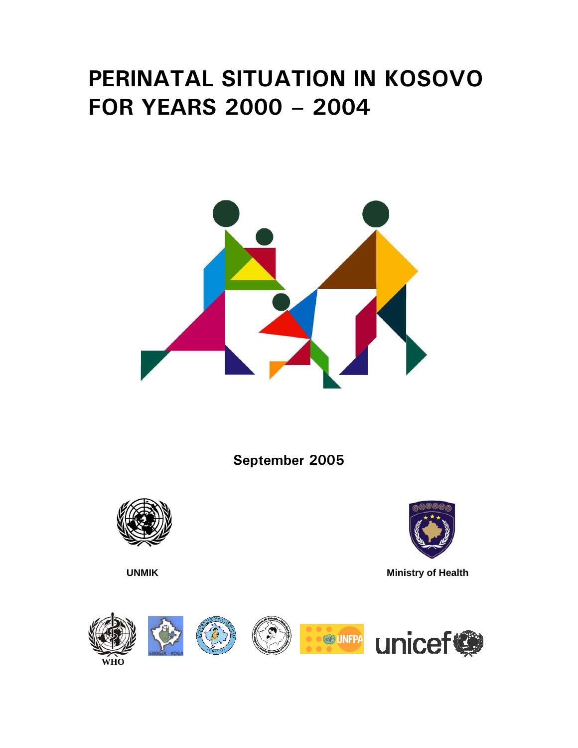# **PERINATAL SITUATION IN KOSOVO FOR YEARS 2000 – 2004**



**September 2005** 





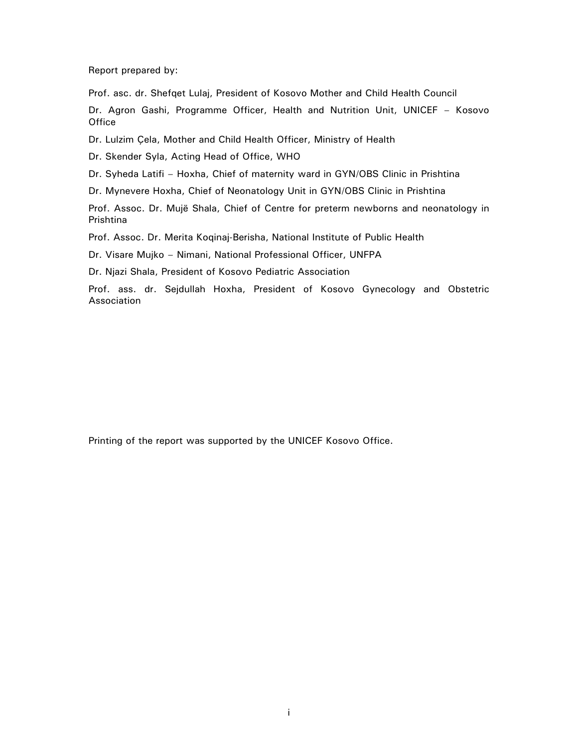Report prepared by:

Prof. asc. dr. Shefqet Lulaj, President of Kosovo Mother and Child Health Council

Dr. Agron Gashi, Programme Officer, Health and Nutrition Unit, UNICEF – Kosovo **Office** 

Dr. Lulzim Çela, Mother and Child Health Officer, Ministry of Health

Dr. Skender Syla, Acting Head of Office, WHO

Dr. Syheda Latifi – Hoxha, Chief of maternity ward in GYN/OBS Clinic in Prishtina

Dr. Mynevere Hoxha, Chief of Neonatology Unit in GYN/OBS Clinic in Prishtina

Prof. Assoc. Dr. Mujë Shala, Chief of Centre for preterm newborns and neonatology in Prishtina

Prof. Assoc. Dr. Merita Koqinaj-Berisha, National Institute of Public Health

Dr. Visare Mujko – Nimani, National Professional Officer, UNFPA

Dr. Njazi Shala, President of Kosovo Pediatric Association

Prof. ass. dr. Sejdullah Hoxha, President of Kosovo Gynecology and Obstetric Association

Printing of the report was supported by the UNICEF Kosovo Office.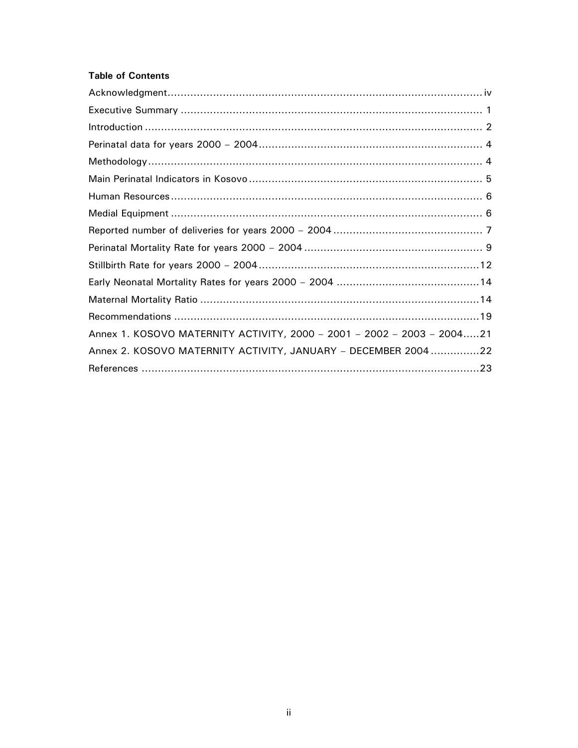## **Table of Contents**

| Annex 1. KOSOVO MATERNITY ACTIVITY, 2000 - 2001 - 2002 - 2003 - 200421 |
|------------------------------------------------------------------------|
| Annex 2. KOSOVO MATERNITY ACTIVITY, JANUARY - DECEMBER 200422          |
|                                                                        |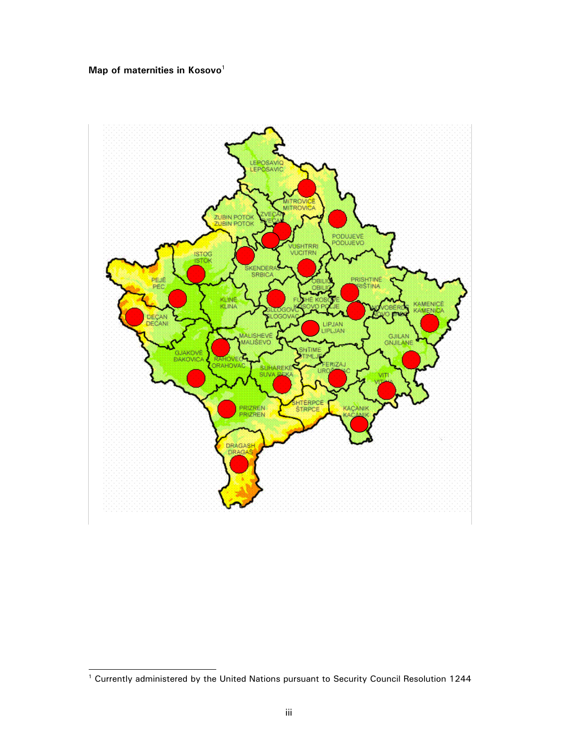# **Map of maternities in Kosovo**<sup>1</sup>



 1 Currently administered by the United Nations pursuant to Security Council Resolution 1244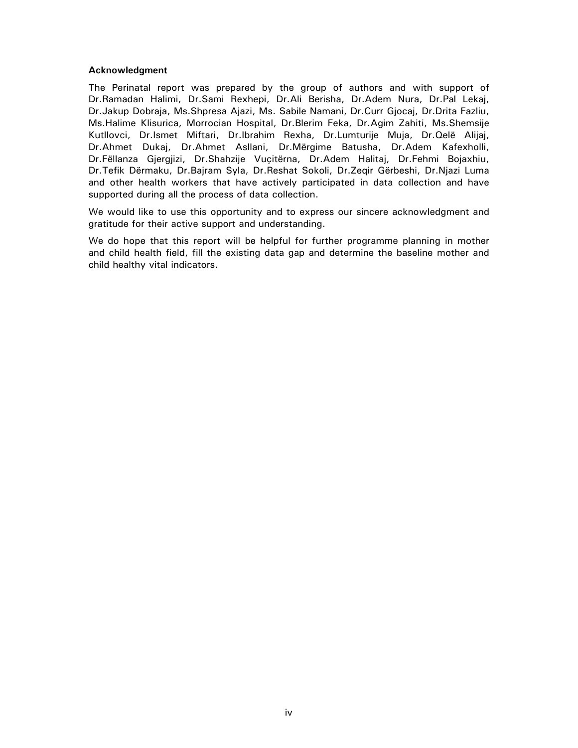#### **Acknowledgment**

The Perinatal report was prepared by the group of authors and with support of Dr.Ramadan Halimi, Dr.Sami Rexhepi, Dr.Ali Berisha, Dr.Adem Nura, Dr.Pal Lekaj, Dr.Jakup Dobraja, Ms.Shpresa Ajazi, Ms. Sabile Namani, Dr.Curr Gjocaj, Dr.Drita Fazliu, Ms.Halime Klisurica, Morrocian Hospital, Dr.Blerim Feka, Dr.Agim Zahiti, Ms.Shemsije Kutllovci, Dr.Ismet Miftari, Dr.Ibrahim Rexha, Dr.Lumturije Muja, Dr.Qelë Alijaj, Dr.Ahmet Dukaj, Dr.Ahmet Asllani, Dr.Mërgime Batusha, Dr.Adem Kafexholli, Dr.Fëllanza Gjergjizi, Dr.Shahzije Vuçitërna, Dr.Adem Halitaj, Dr.Fehmi Bojaxhiu, Dr.Tefik Dërmaku, Dr.Bajram Syla, Dr.Reshat Sokoli, Dr.Zeqir Gërbeshi, Dr.Njazi Luma and other health workers that have actively participated in data collection and have supported during all the process of data collection.

We would like to use this opportunity and to express our sincere acknowledgment and gratitude for their active support and understanding.

We do hope that this report will be helpful for further programme planning in mother and child health field, fill the existing data gap and determine the baseline mother and child healthy vital indicators.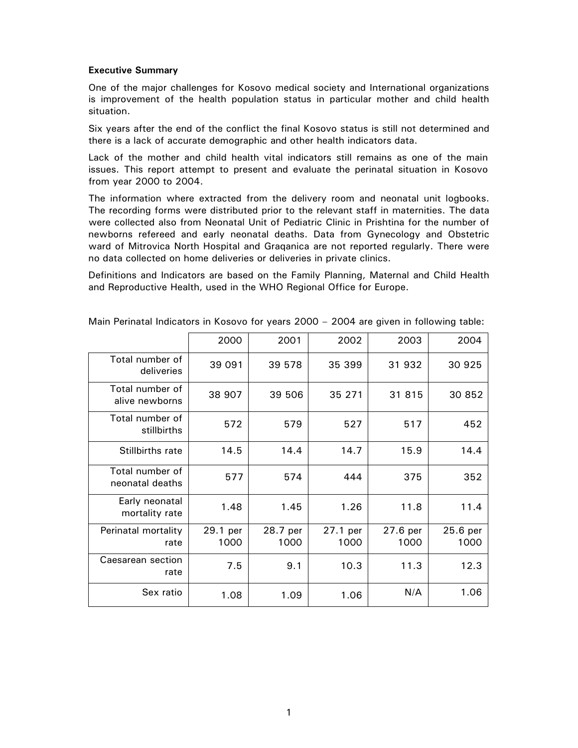#### **Executive Summary**

One of the major challenges for Kosovo medical society and International organizations is improvement of the health population status in particular mother and child health situation.

Six years after the end of the conflict the final Kosovo status is still not determined and there is a lack of accurate demographic and other health indicators data.

Lack of the mother and child health vital indicators still remains as one of the main issues. This report attempt to present and evaluate the perinatal situation in Kosovo from year 2000 to 2004.

The information where extracted from the delivery room and neonatal unit logbooks. The recording forms were distributed prior to the relevant staff in maternities. The data were collected also from Neonatal Unit of Pediatric Clinic in Prishtina for the number of newborns refereed and early neonatal deaths. Data from Gynecology and Obstetric ward of Mitrovica North Hospital and Graqanica are not reported regularly. There were no data collected on home deliveries or deliveries in private clinics.

Definitions and Indicators are based on the Family Planning, Maternal and Child Health and Reproductive Health, used in the WHO Regional Office for Europe.

|                                    | 2000             | 2001             | 2002             | 2003             | 2004             |
|------------------------------------|------------------|------------------|------------------|------------------|------------------|
| Total number of<br>deliveries      | 39 091           | 39 578           | 35 399           | 31 932           | 30 925           |
| Total number of<br>alive newborns  | 38 907           | 39 506           | 35 271           | 31 815           | 30 852           |
| Total number of<br>stillbirths     | 572              | 579              | 527              | 517              | 452              |
| Stillbirths rate                   | 14.5             | 14.4             | 14.7             | 15.9             | 14.4             |
| Total number of<br>neonatal deaths | 577              | 574              | 444              | 375              | 352              |
| Early neonatal<br>mortality rate   | 1.48             | 1.45             | 1.26             | 11.8             | 11.4             |
| Perinatal mortality<br>rate        | 29.1 per<br>1000 | 28.7 per<br>1000 | 27.1 per<br>1000 | 27.6 per<br>1000 | 25.6 per<br>1000 |
| Caesarean section<br>rate          | 7.5              | 9.1              | 10.3             | 11.3             | 12.3             |
| Sex ratio                          | 1.08             | 1.09             | 1.06             | N/A              | 1.06             |

Main Perinatal Indicators in Kosovo for years 2000 – 2004 are given in following table: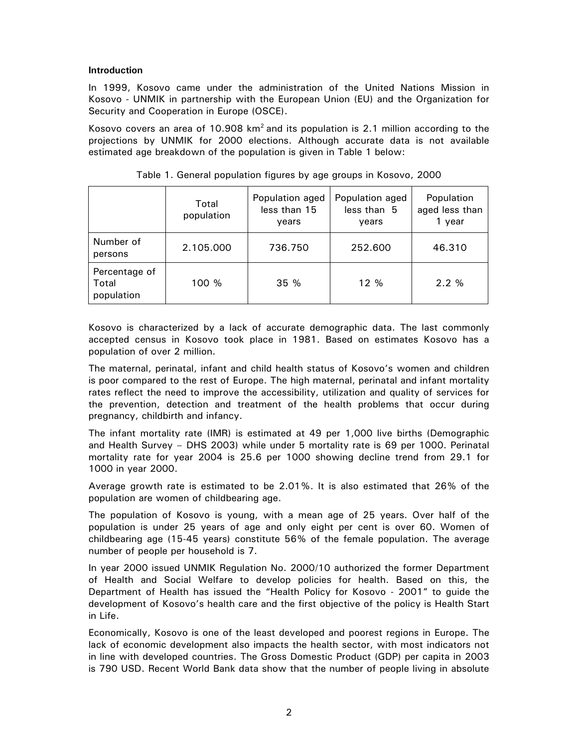#### **Introduction**

In 1999, Kosovo came under the administration of the United Nations Mission in Kosovo - UNMIK in partnership with the European Union (EU) and the Organization for Security and Cooperation in Europe (OSCE).

Kosovo covers an area of 10.908  $km^2$  and its population is 2.1 million according to the projections by UNMIK for 2000 elections. Although accurate data is not available estimated age breakdown of the population is given in Table 1 below:

|                                      | Total<br>population | Population aged<br>less than 15<br>years | Population aged<br>less than 5<br>vears | Population<br>aged less than<br>1 year |
|--------------------------------------|---------------------|------------------------------------------|-----------------------------------------|----------------------------------------|
| Number of<br>persons                 | 2.105.000           | 736.750                                  | 252,600                                 | 46.310                                 |
| Percentage of<br>Total<br>population | 100 %               | 35 %                                     | 12 %                                    | 2.2%                                   |

Table 1. General population figures by age groups in Kosovo, 2000

Kosovo is characterized by a lack of accurate demographic data. The last commonly accepted census in Kosovo took place in 1981. Based on estimates Kosovo has a population of over 2 million.

The maternal, perinatal, infant and child health status of Kosovo's women and children is poor compared to the rest of Europe. The high maternal, perinatal and infant mortality rates reflect the need to improve the accessibility, utilization and quality of services for the prevention, detection and treatment of the health problems that occur during pregnancy, childbirth and infancy.

The infant mortality rate (IMR) is estimated at 49 per 1,000 live births (Demographic and Health Survey – DHS 2003) while under 5 mortality rate is 69 per 1000. Perinatal mortality rate for year 2004 is 25.6 per 1000 showing decline trend from 29.1 for 1000 in year 2000.

Average growth rate is estimated to be 2.01%. It is also estimated that 26% of the population are women of childbearing age.

The population of Kosovo is young, with a mean age of 25 years. Over half of the population is under 25 years of age and only eight per cent is over 60. Women of childbearing age (15-45 years) constitute 56% of the female population. The average number of people per household is 7.

In year 2000 issued UNMIK Regulation No. 2000/10 authorized the former Department of Health and Social Welfare to develop policies for health. Based on this, the Department of Health has issued the "Health Policy for Kosovo - 2001" to guide the development of Kosovo's health care and the first objective of the policy is Health Start in Life.

Economically, Kosovo is one of the least developed and poorest regions in Europe. The lack of economic development also impacts the health sector, with most indicators not in line with developed countries. The Gross Domestic Product (GDP) per capita in 2003 is 790 USD. Recent World Bank data show that the number of people living in absolute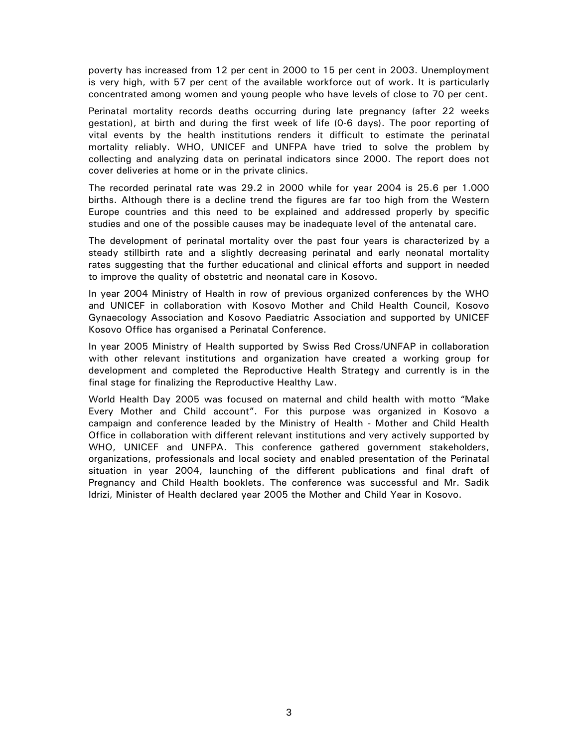poverty has increased from 12 per cent in 2000 to 15 per cent in 2003. Unemployment is very high, with 57 per cent of the available workforce out of work. It is particularly concentrated among women and young people who have levels of close to 70 per cent.

Perinatal mortality records deaths occurring during late pregnancy (after 22 weeks gestation), at birth and during the first week of life (0-6 days). The poor reporting of vital events by the health institutions renders it difficult to estimate the perinatal mortality reliably. WHO, UNICEF and UNFPA have tried to solve the problem by collecting and analyzing data on perinatal indicators since 2000. The report does not cover deliveries at home or in the private clinics.

The recorded perinatal rate was 29.2 in 2000 while for year 2004 is 25.6 per 1.000 births. Although there is a decline trend the figures are far too high from the Western Europe countries and this need to be explained and addressed properly by specific studies and one of the possible causes may be inadequate level of the antenatal care.

The development of perinatal mortality over the past four years is characterized by a steady stillbirth rate and a slightly decreasing perinatal and early neonatal mortality rates suggesting that the further educational and clinical efforts and support in needed to improve the quality of obstetric and neonatal care in Kosovo.

In year 2004 Ministry of Health in row of previous organized conferences by the WHO and UNICEF in collaboration with Kosovo Mother and Child Health Council, Kosovo Gynaecology Association and Kosovo Paediatric Association and supported by UNICEF Kosovo Office has organised a Perinatal Conference.

In year 2005 Ministry of Health supported by Swiss Red Cross/UNFAP in collaboration with other relevant institutions and organization have created a working group for development and completed the Reproductive Health Strategy and currently is in the final stage for finalizing the Reproductive Healthy Law.

World Health Day 2005 was focused on maternal and child health with motto "Make Every Mother and Child account". For this purpose was organized in Kosovo a campaign and conference leaded by the Ministry of Health - Mother and Child Health Office in collaboration with different relevant institutions and very actively supported by WHO, UNICEF and UNFPA. This conference gathered government stakeholders, organizations, professionals and local society and enabled presentation of the Perinatal situation in year 2004, launching of the different publications and final draft of Pregnancy and Child Health booklets. The conference was successful and Mr. Sadik Idrizi, Minister of Health declared year 2005 the Mother and Child Year in Kosovo.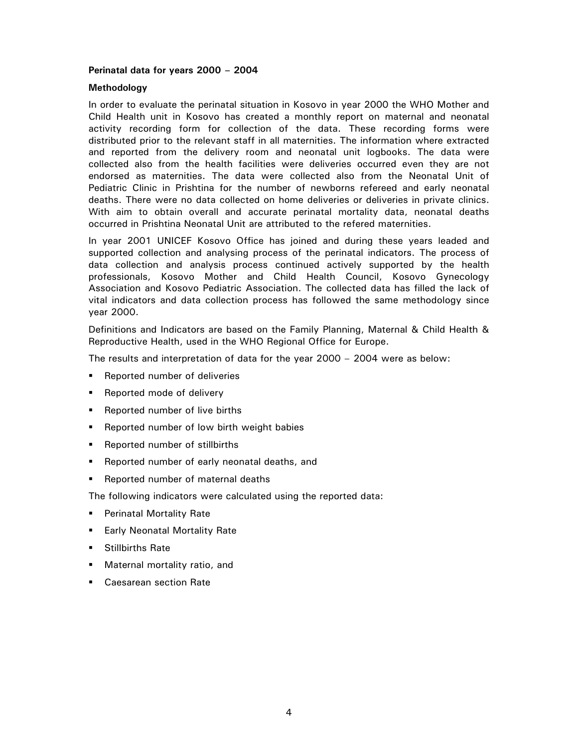#### **Perinatal data for years 2000 – 2004**

#### **Methodology**

In order to evaluate the perinatal situation in Kosovo in year 2000 the WHO Mother and Child Health unit in Kosovo has created a monthly report on maternal and neonatal activity recording form for collection of the data. These recording forms were distributed prior to the relevant staff in all maternities. The information where extracted and reported from the delivery room and neonatal unit logbooks. The data were collected also from the health facilities were deliveries occurred even they are not endorsed as maternities. The data were collected also from the Neonatal Unit of Pediatric Clinic in Prishtina for the number of newborns refereed and early neonatal deaths. There were no data collected on home deliveries or deliveries in private clinics. With aim to obtain overall and accurate perinatal mortality data, neonatal deaths occurred in Prishtina Neonatal Unit are attributed to the refered maternities.

In year 2001 UNICEF Kosovo Office has joined and during these years leaded and supported collection and analysing process of the perinatal indicators. The process of data collection and analysis process continued actively supported by the health professionals, Kosovo Mother and Child Health Council, Kosovo Gynecology Association and Kosovo Pediatric Association. The collected data has filled the lack of vital indicators and data collection process has followed the same methodology since year 2000.

Definitions and Indicators are based on the Family Planning, Maternal & Child Health & Reproductive Health, used in the WHO Regional Office for Europe.

The results and interpretation of data for the year 2000 – 2004 were as below:

- **Reported number of deliveries**
- Reported mode of delivery
- **Reported number of live births**
- **Reported number of low birth weight babies**
- Reported number of stillbirths
- **Reported number of early neonatal deaths, and**
- Reported number of maternal deaths

The following indicators were calculated using the reported data:

- **Perinatal Mortality Rate**
- **Early Neonatal Mortality Rate**
- **Stillbirths Rate**
- **Maternal mortality ratio, and**
- **Caesarean section Rate**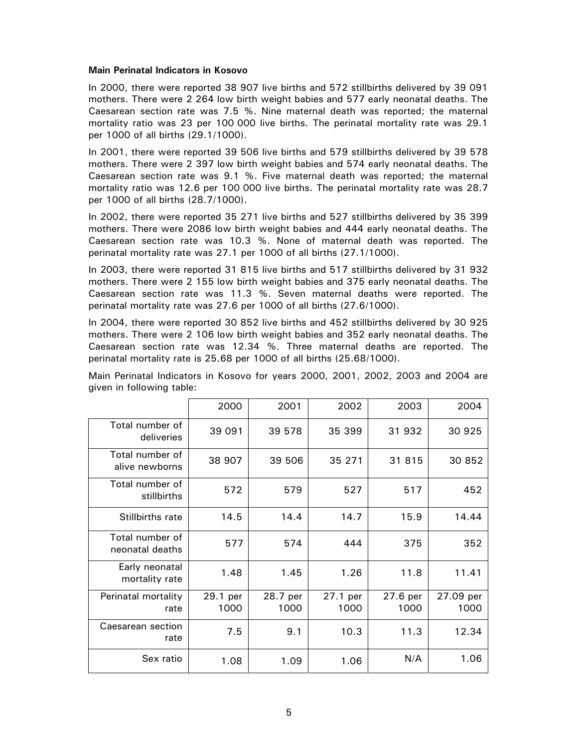#### **Main Perinatal Indicators in Kosovo**

In 2000, there were reported 38 907 live births and 572 stillbirths delivered by 39 091 mothers. There were 2 264 low birth weight babies and 577 early neonatal deaths. The Caesarean section rate was 7.5 %. Nine maternal death was reported; the maternal mortality ratio was 23 per 100 000 live births. The perinatal mortality rate was 29.1 per 1000 of all births (29.1/1000).

In 2001, there were reported 39 506 live births and 579 stillbirths delivered by 39 578 mothers. There were 2 397 low birth weight babies and 574 early neonatal deaths. The Caesarean section rate was 9.1 %. Five maternal death was reported; the maternal mortality ratio was 12.6 per 100 000 live births. The perinatal mortality rate was 28.7 per 1000 of all births (28.7/1000).

In 2002, there were reported 35 271 live births and 527 stillbirths delivered by 35 399 mothers. There were 2086 low birth weight babies and 444 early neonatal deaths. The Caesarean section rate was 10.3 %. None of maternal death was reported. The perinatal mortality rate was 27.1 per 1000 of all births (27.1/1000).

In 2003, there were reported 31 815 live births and 517 stillbirths delivered by 31 932 mothers. There were 2 155 low birth weight babies and 375 early neonatal deaths. The Caesarean section rate was 11.3 %. Seven maternal deaths were reported. The perinatal mortality rate was 27.6 per 1000 of all births (27.6/1000).

In 2004, there were reported 30 852 live births and 452 stillbirths delivered by 30 925 mothers. There were 2 106 low birth weight babies and 352 early neonatal deaths. The Caesarean section rate was 12.34 %. Three maternal deaths are reported. The perinatal mortality rate is 25.68 per 1000 of all births (25.68/1000).

Main Perinatal Indicators in Kosovo for years 2000, 2001, 2002, 2003 and 2004 are given in following table:

|                                    | 2000             | 2001             | 2002             | 2003             | 2004              |
|------------------------------------|------------------|------------------|------------------|------------------|-------------------|
| Total number of<br>deliveries      | 39 091           | 39 578           | 35 399           | 31 932           | 30 925            |
| Total number of<br>alive newborns  | 38 907           | 39 506           | 35 271           | 31 815           | 30 852            |
| Total number of<br>stillbirths     | 572              | 579              | 527              | 517              | 452               |
| <b>Stillbirths rate</b>            | 14.5             | 14.4             | 14.7             | 15.9             | 14.44             |
| Total number of<br>neonatal deaths | 577              | 574              | 444              | 375              | 352               |
| Early neonatal<br>mortality rate   | 1.48             | 1.45             | 1.26             | 11.8             | 11.41             |
| Perinatal mortality<br>rate        | 29.1 per<br>1000 | 28.7 per<br>1000 | 27.1 per<br>1000 | 27.6 per<br>1000 | 27.09 per<br>1000 |
| Caesarean section<br>rate          | 7.5              | 9.1              | 10.3             | 11.3             | 12.34             |
| Sex ratio                          | 1.08             | 1.09             | 1.06             | N/A              | 1.06              |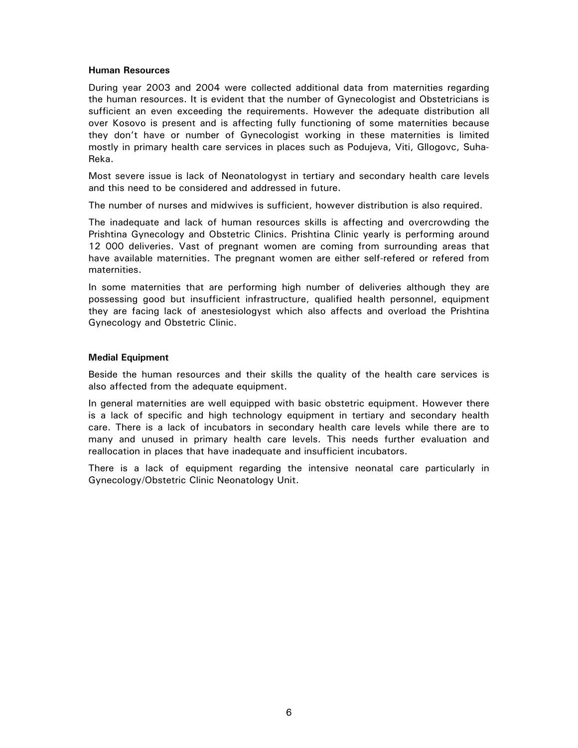#### **Human Resources**

During year 2003 and 2004 were collected additional data from maternities regarding the human resources. It is evident that the number of Gynecologist and Obstetricians is sufficient an even exceeding the requirements. However the adequate distribution all over Kosovo is present and is affecting fully functioning of some maternities because they don't have or number of Gynecologist working in these maternities is limited mostly in primary health care services in places such as Podujeva, Viti, Gllogovc, Suha-Reka.

Most severe issue is lack of Neonatologyst in tertiary and secondary health care levels and this need to be considered and addressed in future.

The number of nurses and midwives is sufficient, however distribution is also required.

The inadequate and lack of human resources skills is affecting and overcrowding the Prishtina Gynecology and Obstetric Clinics. Prishtina Clinic yearly is performing around 12 000 deliveries. Vast of pregnant women are coming from surrounding areas that have available maternities. The pregnant women are either self-refered or refered from maternities.

In some maternities that are performing high number of deliveries although they are possessing good but insufficient infrastructure, qualified health personnel, equipment they are facing lack of anestesiologyst which also affects and overload the Prishtina Gynecology and Obstetric Clinic.

#### **Medial Equipment**

Beside the human resources and their skills the quality of the health care services is also affected from the adequate equipment.

In general maternities are well equipped with basic obstetric equipment. However there is a lack of specific and high technology equipment in tertiary and secondary health care. There is a lack of incubators in secondary health care levels while there are to many and unused in primary health care levels. This needs further evaluation and reallocation in places that have inadequate and insufficient incubators.

There is a lack of equipment regarding the intensive neonatal care particularly in Gynecology/Obstetric Clinic Neonatology Unit.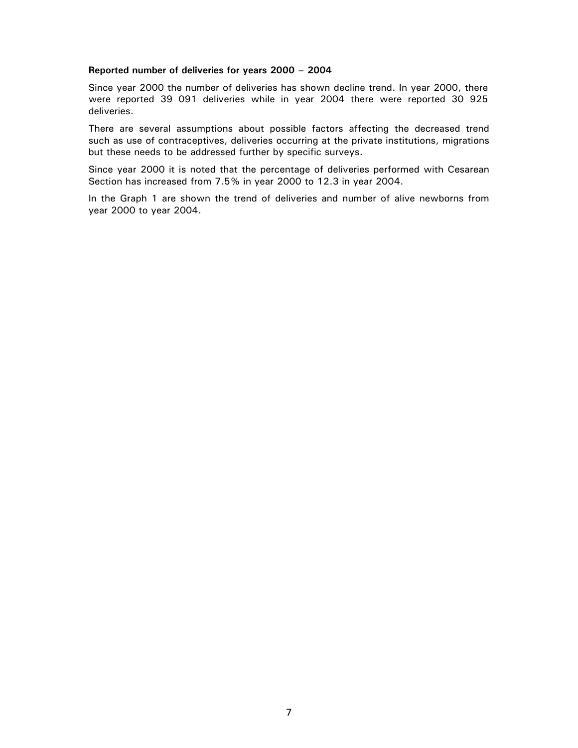#### **Reported number of deliveries for years 2000 – 2004**

Since year 2000 the number of deliveries has shown decline trend. In year 2000, there were reported 39 091 deliveries while in year 2004 there were reported 30 925 deliveries.

There are several assumptions about possible factors affecting the decreased trend such as use of contraceptives, deliveries occurring at the private institutions, migrations but these needs to be addressed further by specific surveys.

Since year 2000 it is noted that the percentage of deliveries performed with Cesarean Section has increased from 7.5% in year 2000 to 12.3 in year 2004.

In the Graph 1 are shown the trend of deliveries and number of alive newborns from year 2000 to year 2004.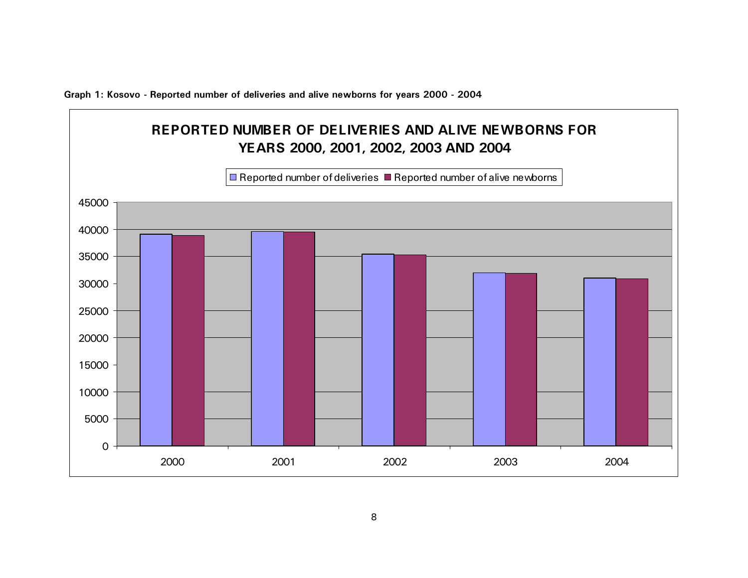**Graph 1: Kosovo - Reported number of deliveries and alive newborns for years 2000 - 2004** 

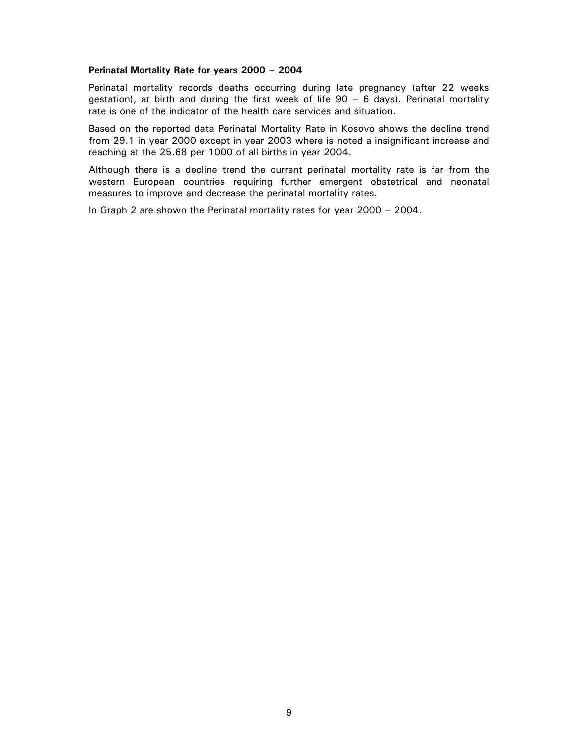#### **Perinatal Mortality Rate for years 2000 – 2004**

Perinatal mortality records deaths occurring during late pregnancy (after 22 weeks gestation), at birth and during the first week of life 90 – 6 days). Perinatal mortality rate is one of the indicator of the health care services and situation.

Based on the reported data Perinatal Mortality Rate in Kosovo shows the decline trend from 29.1 in year 2000 except in year 2003 where is noted a insignificant increase and reaching at the 25.68 per 1000 of all births in year 2004.

Although there is a decline trend the current perinatal mortality rate is far from the western European countries requiring further emergent obstetrical and neonatal measures to improve and decrease the perinatal mortality rates.

In Graph 2 are shown the Perinatal mortality rates for year 2000 – 2004.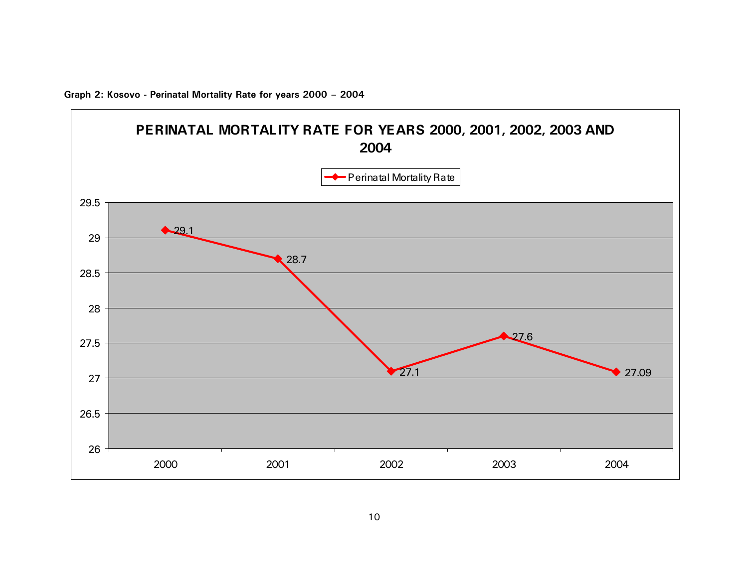

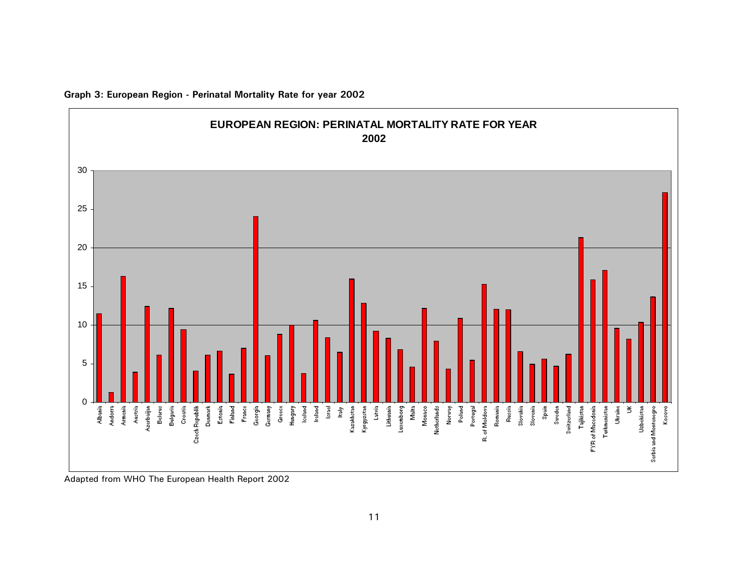

**Graph 3: European Region - Perinatal Mortality Rate for year 2002** 

Adapted from WHO The European Health Report 2002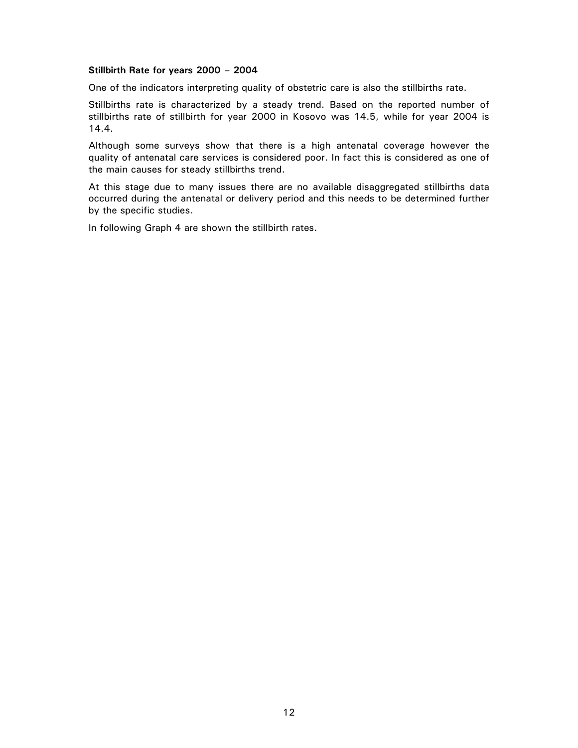#### **Stillbirth Rate for years 2000 – 2004**

One of the indicators interpreting quality of obstetric care is also the stillbirths rate.

Stillbirths rate is characterized by a steady trend. Based on the reported number of stillbirths rate of stillbirth for year 2000 in Kosovo was 14.5, while for year 2004 is 14.4.

Although some surveys show that there is a high antenatal coverage however the quality of antenatal care services is considered poor. In fact this is considered as one of the main causes for steady stillbirths trend.

At this stage due to many issues there are no available disaggregated stillbirths data occurred during the antenatal or delivery period and this needs to be determined further by the specific studies.

In following Graph 4 are shown the stillbirth rates.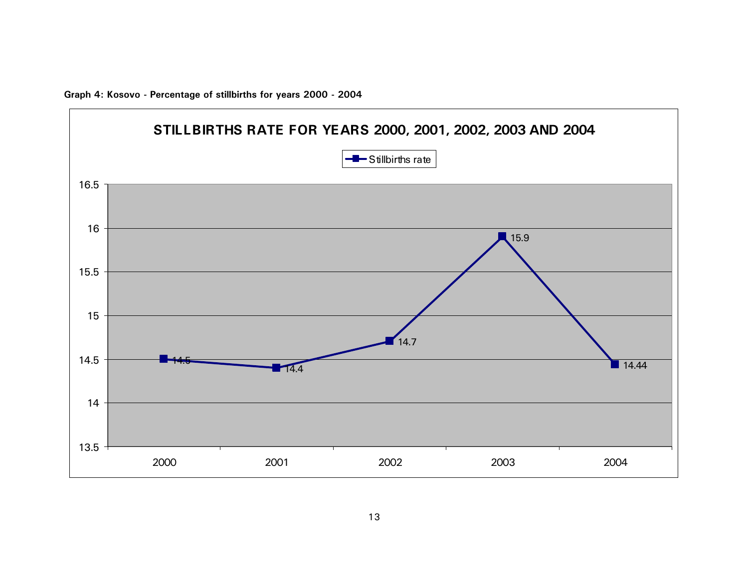

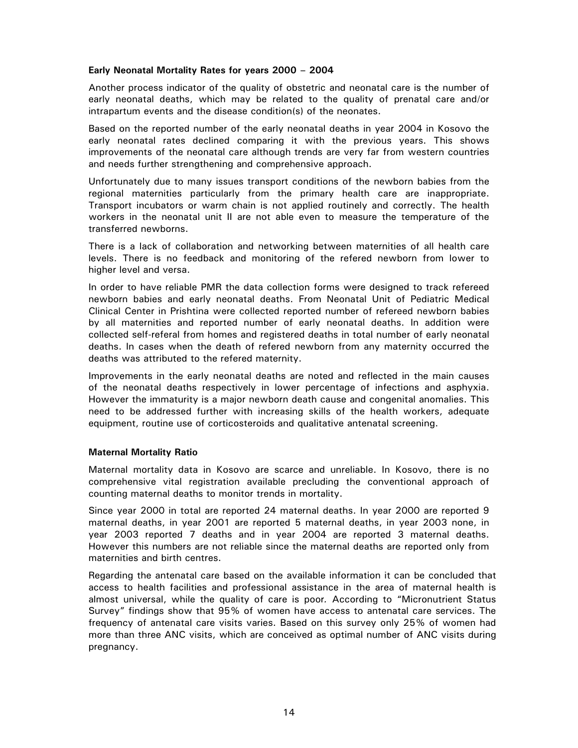#### **Early Neonatal Mortality Rates for years 2000 – 2004**

Another process indicator of the quality of obstetric and neonatal care is the number of early neonatal deaths, which may be related to the quality of prenatal care and/or intrapartum events and the disease condition(s) of the neonates.

Based on the reported number of the early neonatal deaths in year 2004 in Kosovo the early neonatal rates declined comparing it with the previous years. This shows improvements of the neonatal care although trends are very far from western countries and needs further strengthening and comprehensive approach.

Unfortunately due to many issues transport conditions of the newborn babies from the regional maternities particularly from the primary health care are inappropriate. Transport incubators or warm chain is not applied routinely and correctly. The health workers in the neonatal unit II are not able even to measure the temperature of the transferred newborns.

There is a lack of collaboration and networking between maternities of all health care levels. There is no feedback and monitoring of the refered newborn from lower to higher level and versa.

In order to have reliable PMR the data collection forms were designed to track refereed newborn babies and early neonatal deaths. From Neonatal Unit of Pediatric Medical Clinical Center in Prishtina were collected reported number of refereed newborn babies by all maternities and reported number of early neonatal deaths. In addition were collected self-referal from homes and registered deaths in total number of early neonatal deaths. In cases when the death of refered newborn from any maternity occurred the deaths was attributed to the refered maternity.

Improvements in the early neonatal deaths are noted and reflected in the main causes of the neonatal deaths respectively in lower percentage of infections and asphyxia. However the immaturity is a major newborn death cause and congenital anomalies. This need to be addressed further with increasing skills of the health workers, adequate equipment, routine use of corticosteroids and qualitative antenatal screening.

#### **Maternal Mortality Ratio**

Maternal mortality data in Kosovo are scarce and unreliable. In Kosovo, there is no comprehensive vital registration available precluding the conventional approach of counting maternal deaths to monitor trends in mortality.

Since year 2000 in total are reported 24 maternal deaths. In year 2000 are reported 9 maternal deaths, in year 2001 are reported 5 maternal deaths, in year 2003 none, in year 2003 reported 7 deaths and in year 2004 are reported 3 maternal deaths. However this numbers are not reliable since the maternal deaths are reported only from maternities and birth centres.

Regarding the antenatal care based on the available information it can be concluded that access to health facilities and professional assistance in the area of maternal health is almost universal, while the quality of care is poor*.* According to "Micronutrient Status Survey" findings show that 95% of women have access to antenatal care services. The frequency of antenatal care visits varies. Based on this survey only 25% of women had more than three ANC visits, which are conceived as optimal number of ANC visits during pregnancy.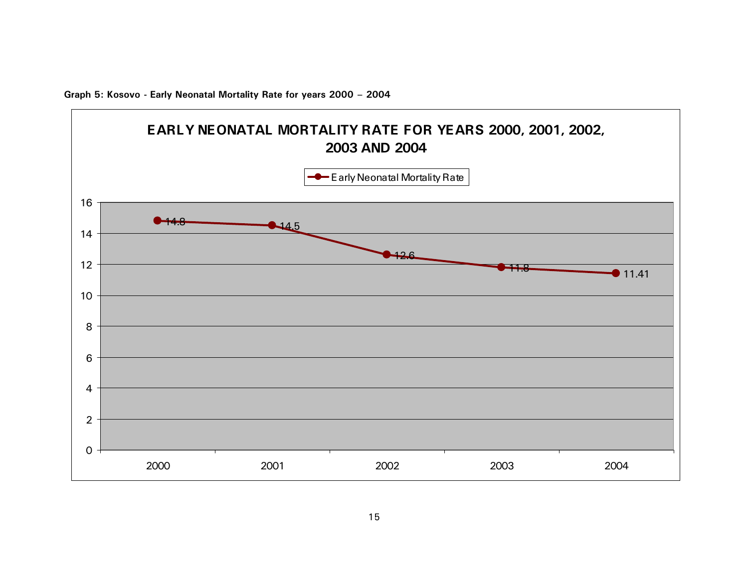

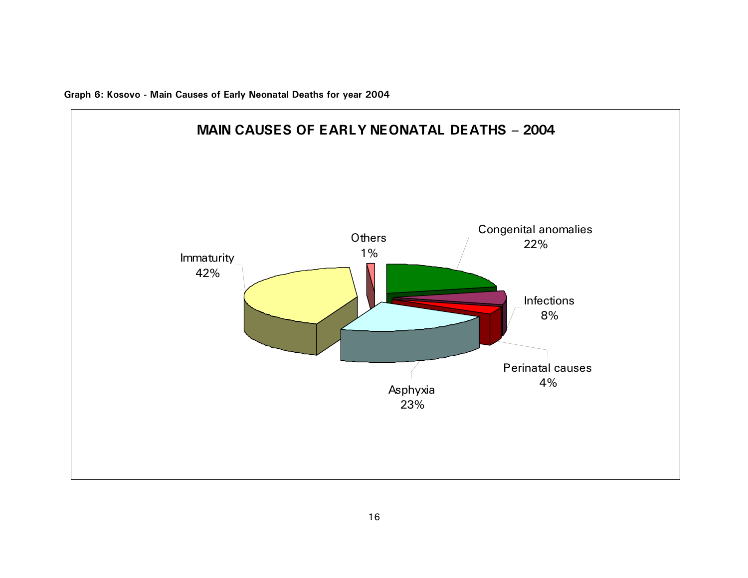**Graph 6: Kosovo - Main Causes of Early Neonatal Deaths for year 2004** 

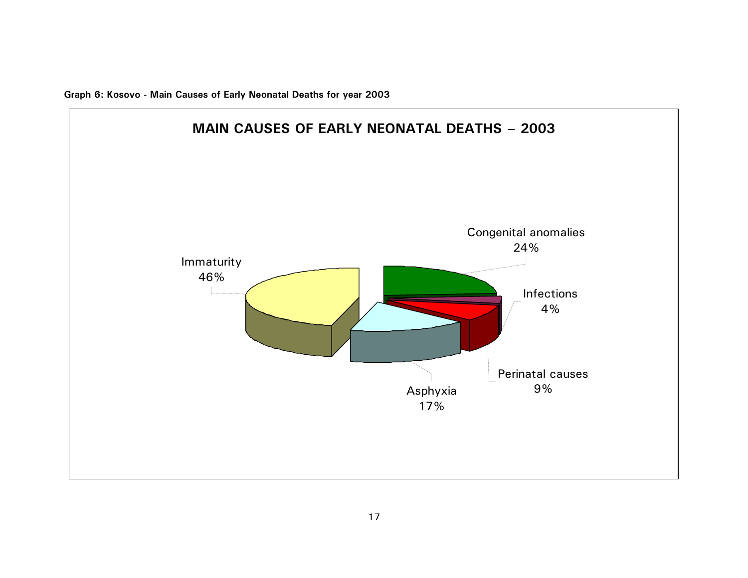**Graph 6: Kosovo - Main Causes of Early Neonatal Deaths for year 2003** 

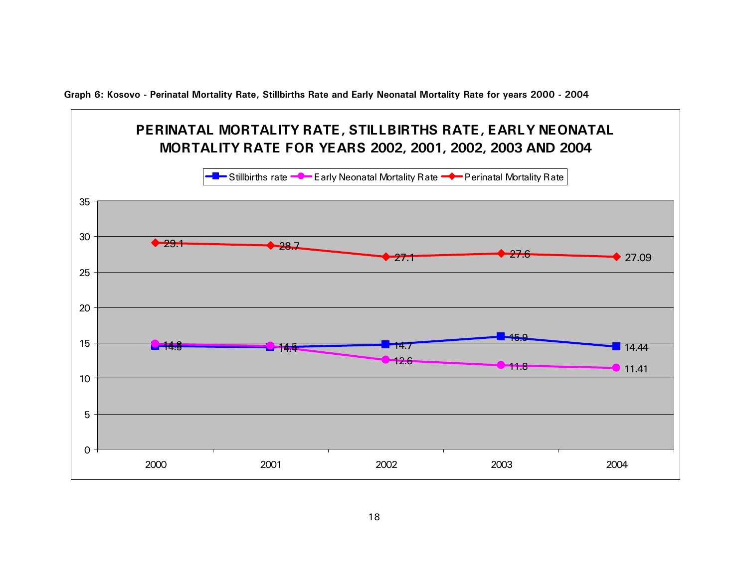**Graph 6: Kosovo - Perinatal Mortality Rate, Stillbirths Rate and Early Neonatal Mortality Rate for years 2000 - 2004** 

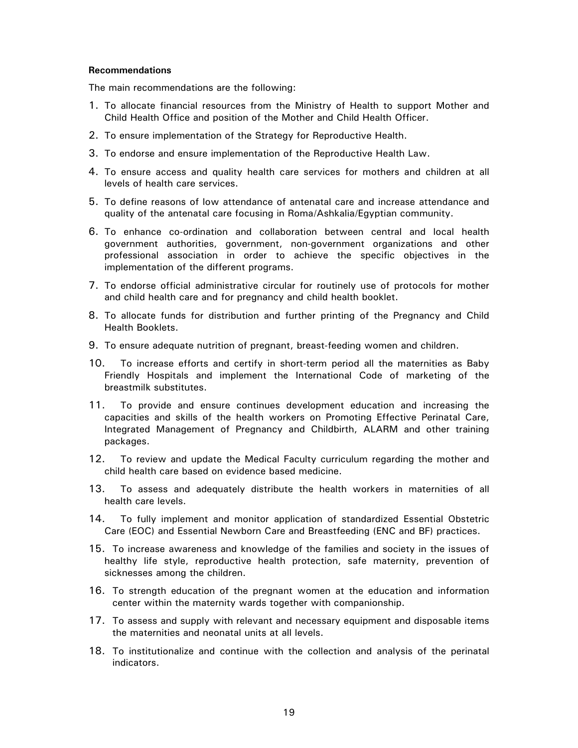#### **Recommendations**

The main recommendations are the following:

- 1. To allocate financial resources from the Ministry of Health to support Mother and Child Health Office and position of the Mother and Child Health Officer.
- 2. To ensure implementation of the Strategy for Reproductive Health.
- 3. To endorse and ensure implementation of the Reproductive Health Law.
- 4. To ensure access and quality health care services for mothers and children at all levels of health care services.
- 5. To define reasons of low attendance of antenatal care and increase attendance and quality of the antenatal care focusing in Roma/Ashkalia/Egyptian community.
- 6. To enhance co-ordination and collaboration between central and local health government authorities, government, non-government organizations and other professional association in order to achieve the specific objectives in the implementation of the different programs.
- 7. To endorse official administrative circular for routinely use of protocols for mother and child health care and for pregnancy and child health booklet.
- 8. To allocate funds for distribution and further printing of the Pregnancy and Child Health Booklets.
- 9. To ensure adequate nutrition of pregnant, breast-feeding women and children.
- 10. To increase efforts and certify in short-term period all the maternities as Baby Friendly Hospitals and implement the International Code of marketing of the breastmilk substitutes.
- 11. To provide and ensure continues development education and increasing the capacities and skills of the health workers on Promoting Effective Perinatal Care, Integrated Management of Pregnancy and Childbirth, ALARM and other training packages.
- 12. To review and update the Medical Faculty curriculum regarding the mother and child health care based on evidence based medicine.
- 13. To assess and adequately distribute the health workers in maternities of all health care levels.
- 14. To fully implement and monitor application of standardized Essential Obstetric Care (EOC) and Essential Newborn Care and Breastfeeding (ENC and BF) practices.
- 15. To increase awareness and knowledge of the families and society in the issues of healthy life style, reproductive health protection, safe maternity, prevention of sicknesses among the children.
- 16. To strength education of the pregnant women at the education and information center within the maternity wards together with companionship.
- 17. To assess and supply with relevant and necessary equipment and disposable items the maternities and neonatal units at all levels.
- 18. To institutionalize and continue with the collection and analysis of the perinatal indicators.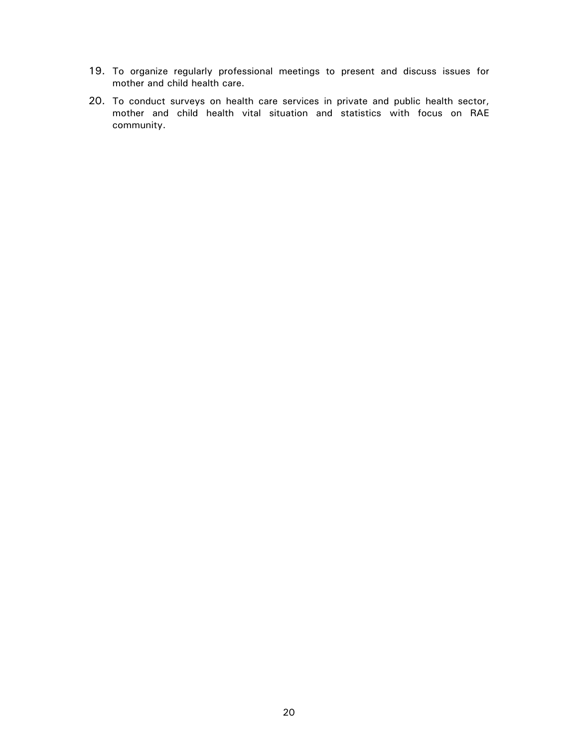- 19. To organize regularly professional meetings to present and discuss issues for mother and child health care.
- 20. To conduct surveys on health care services in private and public health sector, mother and child health vital situation and statistics with focus on RAE community.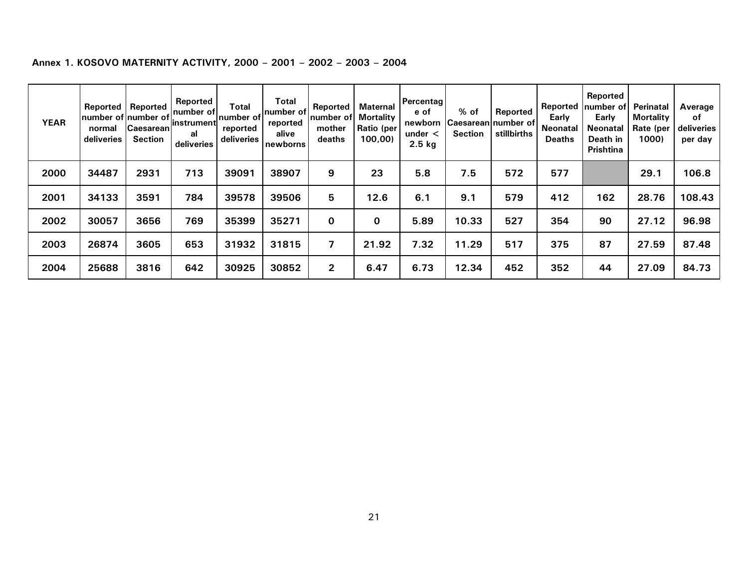| <b>YEAR</b> | Reported<br>normal<br>deliveries | Reported<br>number of number of<br><b>Caesarean</b><br><b>Section</b> | Reported<br>Inumber of<br>linstrument<br>al<br>deliveries | <b>Total</b><br>number of<br>reported<br>deliveries | <b>Total</b><br>Inumber of<br>reported<br>alive<br>newborns | <b>Reported</b><br>number of<br>mother<br>deaths | Maternal<br><b>Mortality</b><br>Ratio (per<br>100,00 | Percentag<br>e of<br>newborn<br>under $\lt$<br>$2.5$ kg | % of<br><b>Section</b> | Reported<br><b>CaesareanInumber of</b><br>stillbirths | Early<br><b>Neonatal</b><br><b>Deaths</b> | Reported<br>Reported Inumber of<br>Early<br>Neonatal<br>Death in<br><b>Prishtina</b> | Perinatal<br><b>Mortality</b><br>Rate (per<br>1000) | Average<br>of<br>deliveries<br>per day |
|-------------|----------------------------------|-----------------------------------------------------------------------|-----------------------------------------------------------|-----------------------------------------------------|-------------------------------------------------------------|--------------------------------------------------|------------------------------------------------------|---------------------------------------------------------|------------------------|-------------------------------------------------------|-------------------------------------------|--------------------------------------------------------------------------------------|-----------------------------------------------------|----------------------------------------|
| 2000        | 34487                            | 2931                                                                  | 713                                                       | 39091                                               | 38907                                                       | 9                                                | 23                                                   | 5.8                                                     | 7.5                    | 572                                                   | 577                                       |                                                                                      | 29.1                                                | 106.8                                  |
| 2001        | 34133                            | 3591                                                                  | 784                                                       | 39578                                               | 39506                                                       | 5                                                | 12.6                                                 | 6.1                                                     | 9.1                    | 579                                                   | 412                                       | 162                                                                                  | 28.76                                               | 108.43                                 |
| 2002        | 30057                            | 3656                                                                  | 769                                                       | 35399                                               | 35271                                                       | $\Omega$                                         | $\bf{0}$                                             | 5.89                                                    | 10.33                  | 527                                                   | 354                                       | 90                                                                                   | 27.12                                               | 96.98                                  |
| 2003        | 26874                            | 3605                                                                  | 653                                                       | 31932                                               | 31815                                                       |                                                  | 21.92                                                | 7.32                                                    | 11.29                  | 517                                                   | 375                                       | 87                                                                                   | 27.59                                               | 87.48                                  |
| 2004        | 25688                            | 3816                                                                  | 642                                                       | 30925                                               | 30852                                                       | $\mathbf{2}$                                     | 6.47                                                 | 6.73                                                    | 12.34                  | 452                                                   | 352                                       | 44                                                                                   | 27.09                                               | 84.73                                  |

## **Annex 1. KOSOVO MATERNITY ACTIVITY, 2000 – 2001 – 2002 – 2003 – 2004**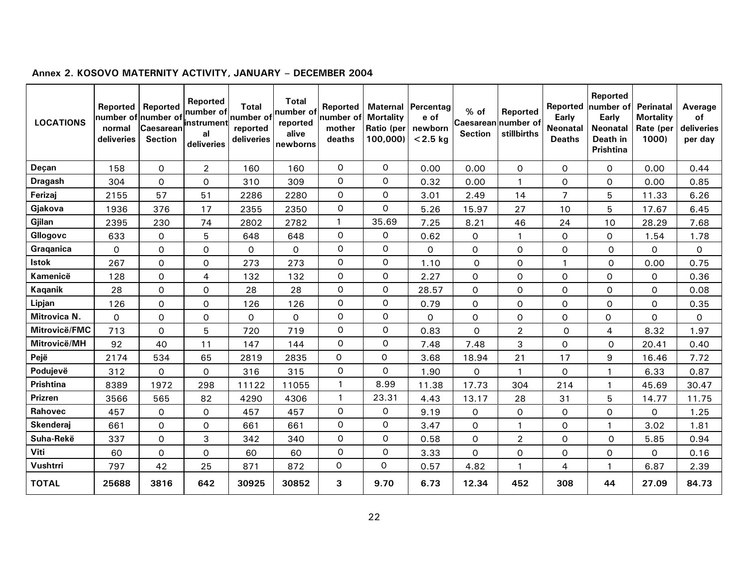| <b>LOCATIONS</b> | <b>Reported</b><br>number of number of<br>normal<br>deliveries | Reported<br><b>Caesarean</b><br><b>Section</b> | Reported<br>number of<br>instrument<br>al<br>deliveries | <b>Total</b><br>number of<br>reported<br>deliveries | <b>Total</b><br>number of<br>reported<br>alive<br>newborns | Reported<br>number of<br>mother<br>deaths | <b>Mortality</b><br>Ratio (per<br>100,000) | <b>Maternal Percentag</b><br>e of<br>newborn<br>$< 2.5$ kg | % of<br>Caesarean number of<br><b>Section</b> | Reported<br>stillbirths | Reported<br><b>Early</b><br><b>Neonatal</b><br><b>Deaths</b> | Reported<br>number of<br>Early<br><b>Neonatal</b><br>Death in<br><b>Prishtina</b> | <b>Perinatal</b><br><b>Mortality</b><br>Rate (per<br>1000) | Average<br><b>of</b><br>deliveries<br>per day |
|------------------|----------------------------------------------------------------|------------------------------------------------|---------------------------------------------------------|-----------------------------------------------------|------------------------------------------------------------|-------------------------------------------|--------------------------------------------|------------------------------------------------------------|-----------------------------------------------|-------------------------|--------------------------------------------------------------|-----------------------------------------------------------------------------------|------------------------------------------------------------|-----------------------------------------------|
| Deçan            | 158                                                            | 0                                              | $\overline{2}$                                          | 160                                                 | 160                                                        | $\mathsf{O}$                              | $\Omega$                                   | 0.00                                                       | 0.00                                          | $\Omega$                | $\Omega$                                                     | $\Omega$                                                                          | 0.00                                                       | 0.44                                          |
| <b>Dragash</b>   | 304                                                            | 0                                              | $\mathsf{O}$                                            | 310                                                 | 309                                                        | 0                                         | $\mathsf{o}$                               | 0.32                                                       | 0.00                                          | $\mathbf{1}$            | 0                                                            | $\mathsf{O}$                                                                      | 0.00                                                       | 0.85                                          |
| Ferizaj          | 2155                                                           | 57                                             | 51                                                      | 2286                                                | 2280                                                       | 0                                         | $\mathsf{O}\xspace$                        | 3.01                                                       | 2.49                                          | 14                      | 7                                                            | 5                                                                                 | 11.33                                                      | 6.26                                          |
| Gjakova          | 1936                                                           | 376                                            | 17                                                      | 2355                                                | 2350                                                       | $\mathsf{O}\xspace$                       | 0                                          | 5.26                                                       | 15.97                                         | 27                      | 10                                                           | 5                                                                                 | 17.67                                                      | 6.45                                          |
| Gjilan           | 2395                                                           | 230                                            | 74                                                      | 2802                                                | 2782                                                       | $\mathbf{1}$                              | 35.69                                      | 7.25                                                       | 8.21                                          | 46                      | 24                                                           | 10                                                                                | 28.29                                                      | 7.68                                          |
| Gllogovc         | 633                                                            | 0                                              | 5                                                       | 648                                                 | 648                                                        | 0                                         | 0                                          | 0.62                                                       | 0                                             |                         | 0                                                            | $\Omega$                                                                          | 1.54                                                       | 1.78                                          |
| Graganica        | $\Omega$                                                       | $\mathsf{O}\xspace$                            | $\mathsf{o}$                                            | 0                                                   | 0                                                          | 0                                         | $\mathsf{o}$                               | $\mathsf{O}$                                               | 0                                             | $\Omega$                | $\mathbf 0$                                                  | $\mathsf{o}$                                                                      | $\mathbf 0$                                                | 0                                             |
| <b>Istok</b>     | 267                                                            | $\mathsf{O}\xspace$                            | $\mathsf{O}$                                            | 273                                                 | 273                                                        | 0                                         | $\mathsf{O}\xspace$                        | 1.10                                                       | 0                                             | $\mathsf{O}$            |                                                              | $\mathsf{o}$                                                                      | 0.00                                                       | 0.75                                          |
| Kamenicë         | 128                                                            | $\mathsf{O}$                                   | $\overline{4}$                                          | 132                                                 | 132                                                        | $\mathsf{O}$                              | $\mathsf{o}$                               | 2.27                                                       | 0                                             | $\mathsf{O}$            | $\Omega$                                                     | $\mathsf{O}$                                                                      | $\mathbf 0$                                                | 0.36                                          |
| <b>Kaqanik</b>   | 28                                                             | 0                                              | $\Omega$                                                | 28                                                  | 28                                                         | 0                                         | $\mathsf{o}$                               | 28.57                                                      | 0                                             | $\Omega$                | 0                                                            | O                                                                                 | 0                                                          | 0.08                                          |
| Lipjan           | 126                                                            | 0                                              | $\mathsf{O}$                                            | 126                                                 | 126                                                        | O                                         | $\mathsf{o}$                               | 0.79                                                       | 0                                             | 0                       | 0                                                            | O                                                                                 | 0                                                          | 0.35                                          |
| Mitrovica N.     | $\mathsf{O}$                                                   | 0                                              | $\mathsf{O}$                                            | 0                                                   | 0                                                          | O                                         | $\mathsf O$                                | 0                                                          | 0                                             | 0                       | 0                                                            | $\mathsf{O}\xspace$                                                               | 0                                                          | O                                             |
| Mitrovicë/FMC    | 713                                                            | $\Omega$                                       | 5                                                       | 720                                                 | 719                                                        | $\mathsf{O}$                              | $\mathsf{O}$                               | 0.83                                                       | $\Omega$                                      | $\overline{2}$          | 0                                                            | 4                                                                                 | 8.32                                                       | 1.97                                          |
| Mitrovicë/MH     | 92                                                             | 40                                             | 11                                                      | 147                                                 | 144                                                        | O                                         | $\mathsf{o}$                               | 7.48                                                       | 7.48                                          | 3                       | 0                                                            | $\Omega$                                                                          | 20.41                                                      | 0.40                                          |
| Pejë             | 2174                                                           | 534                                            | 65                                                      | 2819                                                | 2835                                                       | $\Omega$                                  | 0                                          | 3.68                                                       | 18.94                                         | 21                      | 17                                                           | 9                                                                                 | 16.46                                                      | 7.72                                          |
| Podujevë         | 312                                                            | 0                                              | $\mathsf{O}$                                            | 316                                                 | 315                                                        | $\mathsf{O}$                              | 0                                          | 1.90                                                       | 0                                             | $\mathbf{1}$            | 0                                                            | $\mathbf{1}$                                                                      | 6.33                                                       | 0.87                                          |
| Prishtina        | 8389                                                           | 1972                                           | 298                                                     | 11122                                               | 11055                                                      | $\mathbf{1}$                              | 8.99                                       | 11.38                                                      | 17.73                                         | 304                     | 214                                                          | $\mathbf{1}$                                                                      | 45.69                                                      | 30.47                                         |
| Prizren          | 3566                                                           | 565                                            | 82                                                      | 4290                                                | 4306                                                       | $\mathbf{1}$                              | 23.31                                      | 4.43                                                       | 13.17                                         | 28                      | 31                                                           | 5                                                                                 | 14.77                                                      | 11.75                                         |
| Rahovec          | 457                                                            | 0                                              | $\mathsf{O}$                                            | 457                                                 | 457                                                        | 0                                         | 0                                          | 9.19                                                       | 0                                             | 0                       | 0                                                            | 0                                                                                 | 0                                                          | 1.25                                          |
| Skenderaj        | 661                                                            | $\mathsf O$                                    | $\mathsf{O}$                                            | 661                                                 | 661                                                        | $\mathsf{O}\xspace$                       | $\mathsf O$                                | 3.47                                                       | 0                                             | 1                       | $\mathbf 0$                                                  | $\mathbf{1}$                                                                      | 3.02                                                       | 1.81                                          |
| Suha-Rekë        | 337                                                            | $\Omega$                                       | 3                                                       | 342                                                 | 340                                                        | $\mathsf{O}$                              | $\mathsf{o}$                               | 0.58                                                       | 0                                             | $\overline{2}$          | O                                                            | $\Omega$                                                                          | 5.85                                                       | 0.94                                          |
| Viti             | 60                                                             | O                                              | $\mathsf{O}$                                            | 60                                                  | 60                                                         | 0                                         | $\mathsf{o}$                               | 3.33                                                       | 0                                             | O                       | 0                                                            | 0                                                                                 | 0                                                          | 0.16                                          |
| Vushtrri         | 797                                                            | 42                                             | 25                                                      | 871                                                 | 872                                                        | 0                                         | 0                                          | 0.57                                                       | 4.82                                          | $\overline{1}$          | 4                                                            | $\mathbf{1}$                                                                      | 6.87                                                       | 2.39                                          |
| <b>TOTAL</b>     | 25688                                                          | 3816                                           | 642                                                     | 30925                                               | 30852                                                      | 3                                         | 9.70                                       | 6.73                                                       | 12.34                                         | 452                     | 308                                                          | 44                                                                                | 27.09                                                      | 84.73                                         |

# **Annex 2. KOSOVO MATERNITY ACTIVITY, JANUARY – DECEMBER 2004**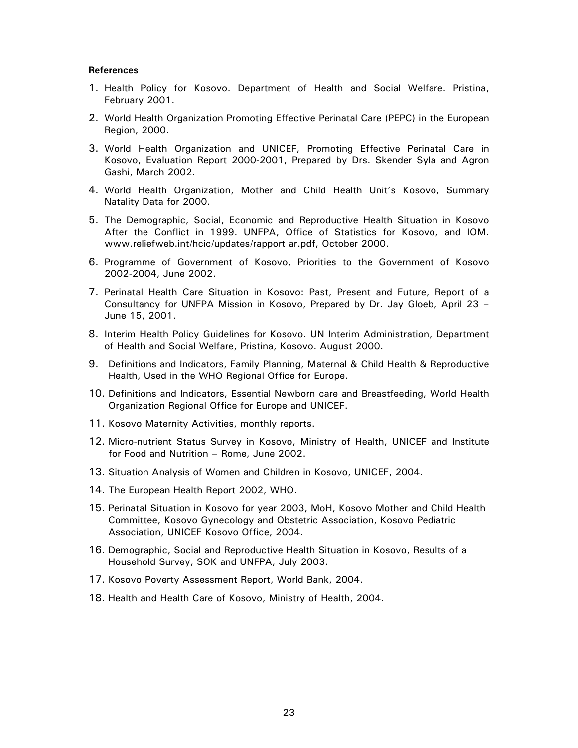#### **References**

- 1. Health Policy for Kosovo. Department of Health and Social Welfare. Pristina, February 2001.
- 2. World Health Organization Promoting Effective Perinatal Care (PEPC) in the European Region, 2000.
- 3. World Health Organization and UNICEF, Promoting Effective Perinatal Care in Kosovo, Evaluation Report 2000-2001, Prepared by Drs. Skender Syla and Agron Gashi, March 2002.
- 4. World Health Organization, Mother and Child Health Unit's Kosovo, Summary Natality Data for 2000.
- 5. The Demographic, Social, Economic and Reproductive Health Situation in Kosovo After the Conflict in 1999. UNFPA, Office of Statistics for Kosovo, and IOM. www.reliefweb.int/hcic/updates/rapport ar.pdf, October 2000.
- 6. Programme of Government of Kosovo, Priorities to the Government of Kosovo 2002-2004, June 2002.
- 7. Perinatal Health Care Situation in Kosovo: Past, Present and Future, Report of a Consultancy for UNFPA Mission in Kosovo, Prepared by Dr. Jay Gloeb, April 23 – June 15, 2001.
- 8. Interim Health Policy Guidelines for Kosovo. UN Interim Administration, Department of Health and Social Welfare, Pristina, Kosovo. August 2000.
- 9. Definitions and Indicators, Family Planning, Maternal & Child Health & Reproductive Health, Used in the WHO Regional Office for Europe.
- 10. Definitions and Indicators, Essential Newborn care and Breastfeeding, World Health Organization Regional Office for Europe and UNICEF.
- 11. Kosovo Maternity Activities, monthly reports.
- 12. Micro-nutrient Status Survey in Kosovo, Ministry of Health, UNICEF and Institute for Food and Nutrition – Rome, June 2002.
- 13. Situation Analysis of Women and Children in Kosovo, UNICEF, 2004.
- 14. The European Health Report 2002, WHO.
- 15. Perinatal Situation in Kosovo for year 2003, MoH, Kosovo Mother and Child Health Committee, Kosovo Gynecology and Obstetric Association, Kosovo Pediatric Association, UNICEF Kosovo Office, 2004.
- 16. Demographic, Social and Reproductive Health Situation in Kosovo, Results of a Household Survey, SOK and UNFPA, July 2003.
- 17. Kosovo Poverty Assessment Report, World Bank, 2004.
- 18. Health and Health Care of Kosovo, Ministry of Health, 2004.